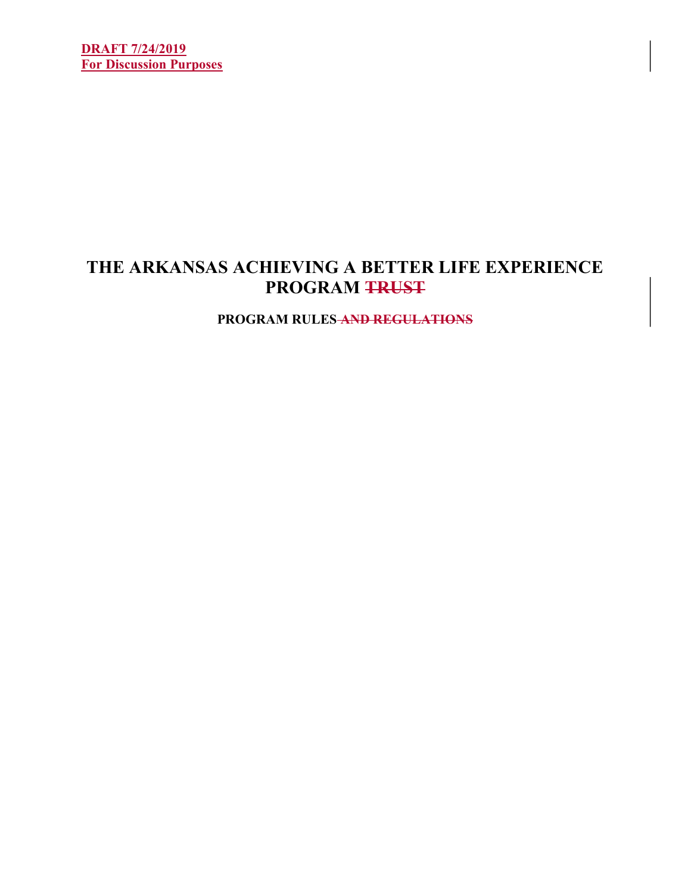# THE ARKANSAS ACHIEVING A BETTER LIFE EXPERIENCE PROGRAM TRUST

PROGRAM RULES AND REGULATIONS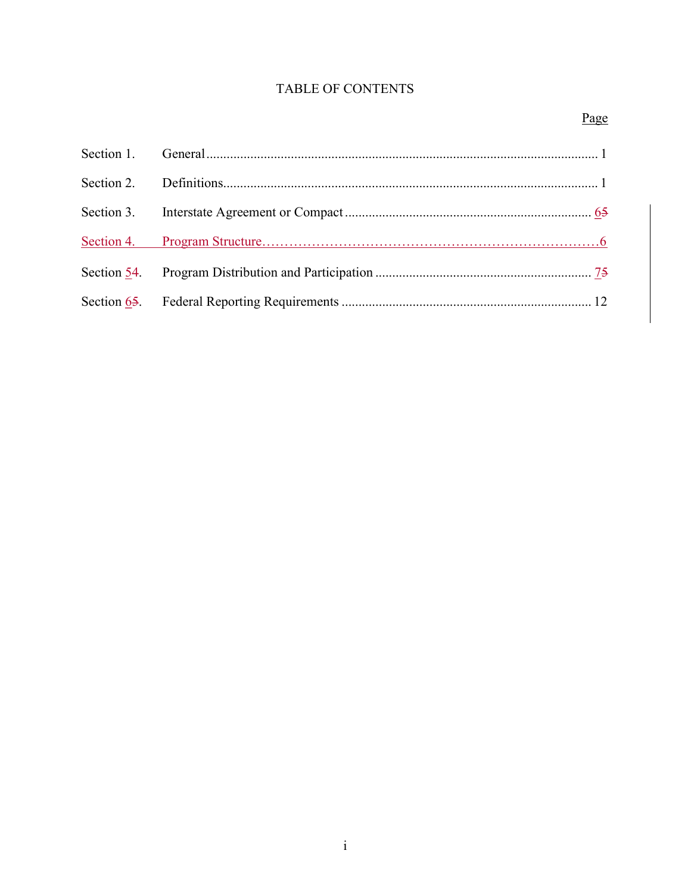# TABLE OF CONTENTS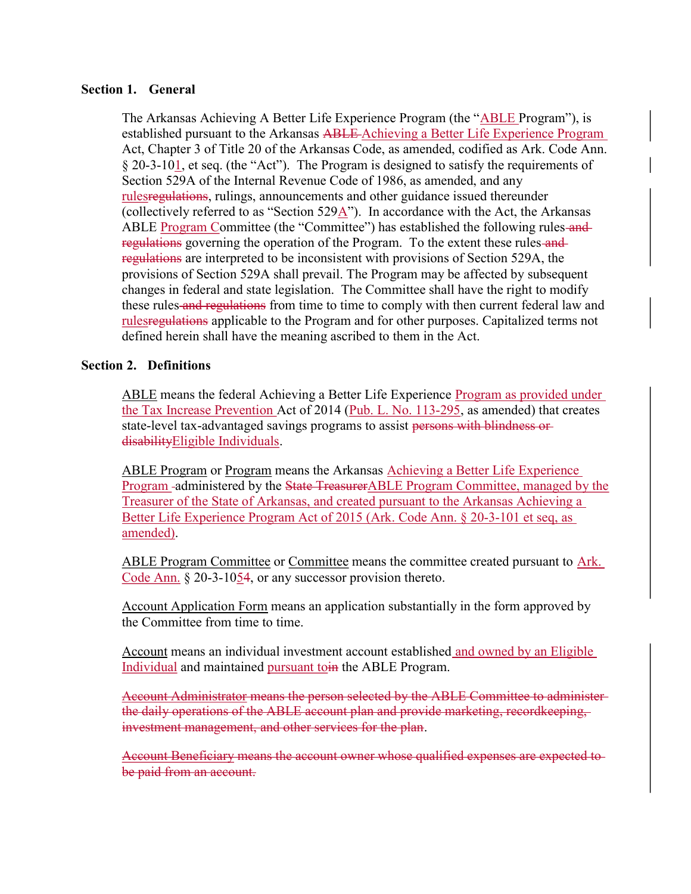### Section 1. General

The Arkansas Achieving A Better Life Experience Program (the "ABLE Program"), is established pursuant to the Arkansas ABLE Achieving a Better Life Experience Program Act, Chapter 3 of Title 20 of the Arkansas Code, as amended, codified as Ark. Code Ann. § 20-3-101, et seq. (the "Act"). The Program is designed to satisfy the requirements of Section 529A of the Internal Revenue Code of 1986, as amended, and any rulesregulations, rulings, announcements and other guidance issued thereunder (collectively referred to as "Section 529A"). In accordance with the Act, the Arkansas ABLE Program Committee (the "Committee") has established the following rules and regulations governing the operation of the Program. To the extent these rules and regulations are interpreted to be inconsistent with provisions of Section 529A, the provisions of Section 529A shall prevail. The Program may be affected by subsequent changes in federal and state legislation. The Committee shall have the right to modify these rules and regulations from time to time to comply with then current federal law and rulesregulations applicable to the Program and for other purposes. Capitalized terms not defined herein shall have the meaning ascribed to them in the Act.

## Section 2. Definitions

ABLE means the federal Achieving a Better Life Experience Program as provided under the Tax Increase Prevention Act of 2014 (Pub. L. No. 113-295, as amended) that creates state-level tax-advantaged savings programs to assist persons with blindness or disabilityEligible Individuals.

ABLE Program or Program means the Arkansas Achieving a Better Life Experience Program administered by the State TreasurerABLE Program Committee, managed by the Treasurer of the State of Arkansas, and created pursuant to the Arkansas Achieving a Better Life Experience Program Act of 2015 (Ark. Code Ann. § 20-3-101 et seq, as amended).

ABLE Program Committee or Committee means the committee created pursuant to Ark. Code Ann. § 20-3-1054, or any successor provision thereto.

Account Application Form means an application substantially in the form approved by the Committee from time to time.

Account means an individual investment account established and owned by an Eligible Individual and maintained pursuant toin the ABLE Program.

Account Administrator means the person selected by the ABLE Committee to administer the daily operations of the ABLE account plan and provide marketing, recordkeeping, investment management, and other services for the plan.

Account Beneficiary means the account owner whose qualified expenses are expected to be paid from an account.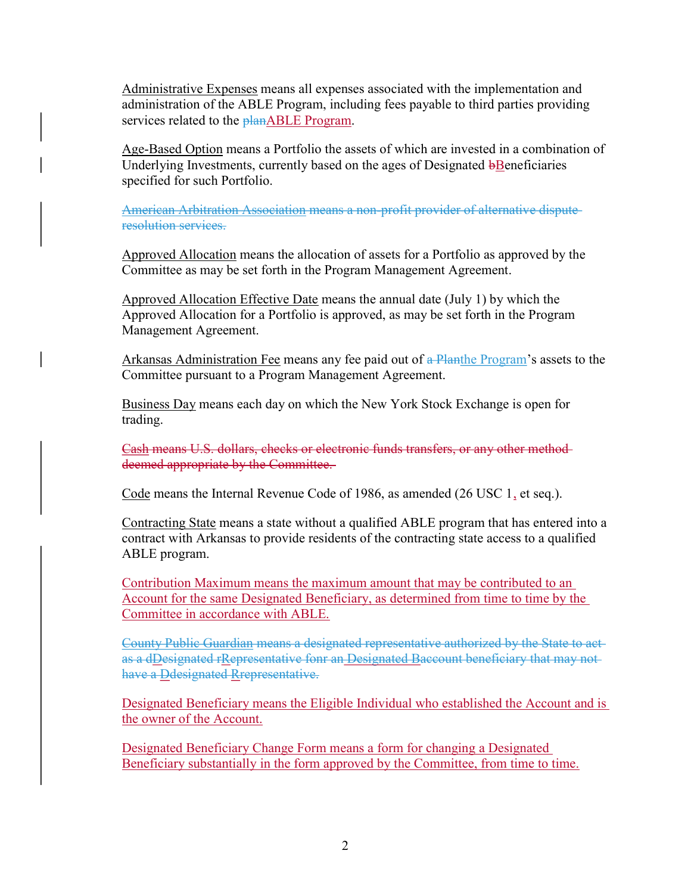Administrative Expenses means all expenses associated with the implementation and administration of the ABLE Program, including fees payable to third parties providing services related to the **planABLE** Program.

Age-Based Option means a Portfolio the assets of which are invested in a combination of Underlying Investments, currently based on the ages of Designated bBeneficiaries specified for such Portfolio.

American Arbitration Association means a non-profit provider of alternative dispute resolution services.

Approved Allocation means the allocation of assets for a Portfolio as approved by the Committee as may be set forth in the Program Management Agreement.

Approved Allocation Effective Date means the annual date (July 1) by which the Approved Allocation for a Portfolio is approved, as may be set forth in the Program Management Agreement.

Arkansas Administration Fee means any fee paid out of a Planthe Program's assets to the Committee pursuant to a Program Management Agreement.

Business Day means each day on which the New York Stock Exchange is open for trading.

Cash means U.S. dollars, checks or electronic funds transfers, or any other method deemed appropriate by the Committee.

Code means the Internal Revenue Code of 1986, as amended (26 USC 1, et seq.).

Contracting State means a state without a qualified ABLE program that has entered into a contract with Arkansas to provide residents of the contracting state access to a qualified ABLE program.

Contribution Maximum means the maximum amount that may be contributed to an Account for the same Designated Beneficiary, as determined from time to time by the Committee in accordance with ABLE.

County Public Guardian means a designated representative authorized by the State to act as a dDesignated rRepresentative fonr an Designated Baccount beneficiary that may not have a Ddesignated Rrepresentative.

Designated Beneficiary means the Eligible Individual who established the Account and is the owner of the Account.

Designated Beneficiary Change Form means a form for changing a Designated Beneficiary substantially in the form approved by the Committee, from time to time.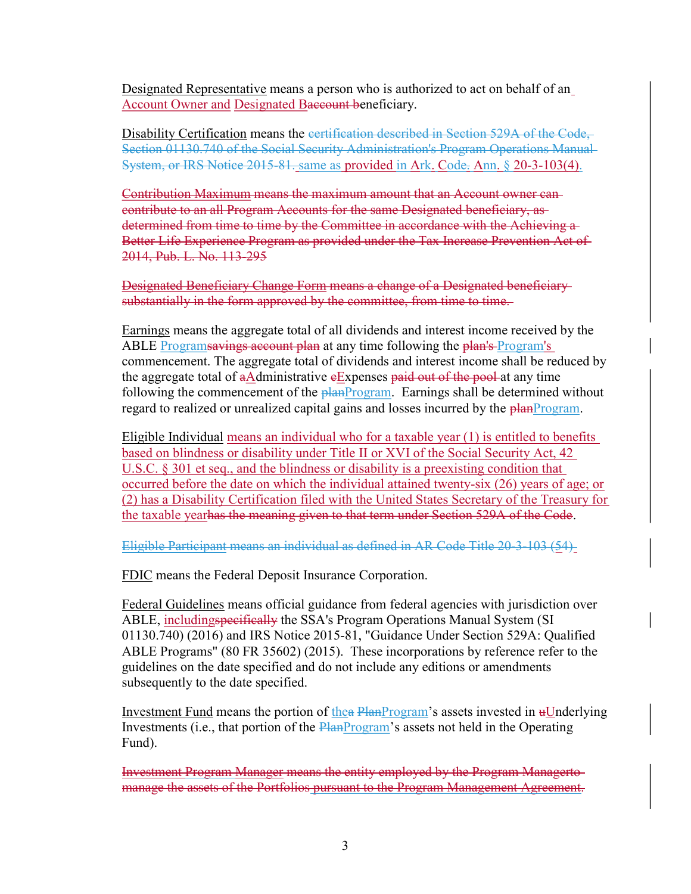Designated Representative means a person who is authorized to act on behalf of an Account Owner and Designated Baccount beneficiary.

Disability Certification means the certification described in Section 529A of the Code, Section 01130.740 of the Social Security Administration's Program Operations Manual System, or IRS Notice 2015-81. same as provided in Ark. Code. Ann. § 20-3-103(4).

Contribution Maximum means the maximum amount that an Account owner can contribute to an all Program Accounts for the same Designated beneficiary, as determined from time to time by the Committee in accordance with the Achieving a-Better Life Experience Program as provided under the Tax Increase Prevention Act of 2014, Pub. L. No. 113-295

Designated Beneficiary Change Form means a change of a Designated beneficiary substantially in the form approved by the committee, from time to time.

Earnings means the aggregate total of all dividends and interest income received by the ABLE Programsavings account plan at any time following the plan's Program's commencement. The aggregate total of dividends and interest income shall be reduced by the aggregate total of  $\alpha$ Administrative  $\epsilon$ Expenses paid out of the pool at any time following the commencement of the **planProgram.** Earnings shall be determined without regard to realized or unrealized capital gains and losses incurred by the **planProgram**.

Eligible Individual means an individual who for a taxable year (1) is entitled to benefits based on blindness or disability under Title II or XVI of the Social Security Act, 42 U.S.C. § 301 et seq., and the blindness or disability is a preexisting condition that occurred before the date on which the individual attained twenty-six (26) years of age; or (2) has a Disability Certification filed with the United States Secretary of the Treasury for the taxable yearhas the meaning given to that term under Section 529A of the Code.

Eligible Participant means an individual as defined in AR Code Title 20-3-103 (54)

FDIC means the Federal Deposit Insurance Corporation.

Federal Guidelines means official guidance from federal agencies with jurisdiction over ABLE, includingspecifically the SSA's Program Operations Manual System (SI 01130.740) (2016) and IRS Notice 2015-81, "Guidance Under Section 529A: Qualified ABLE Programs" (80 FR 35602) (2015). These incorporations by reference refer to the guidelines on the date specified and do not include any editions or amendments subsequently to the date specified.

Investment Fund means the portion of thea PlanProgram's assets invested in uUnderlying Investments (i.e., that portion of the PlanProgram's assets not held in the Operating Fund).

Investment Program Manager means the entity employed by the Program Managerto manage the assets of the Portfolios pursuant to the Program Management Agreement.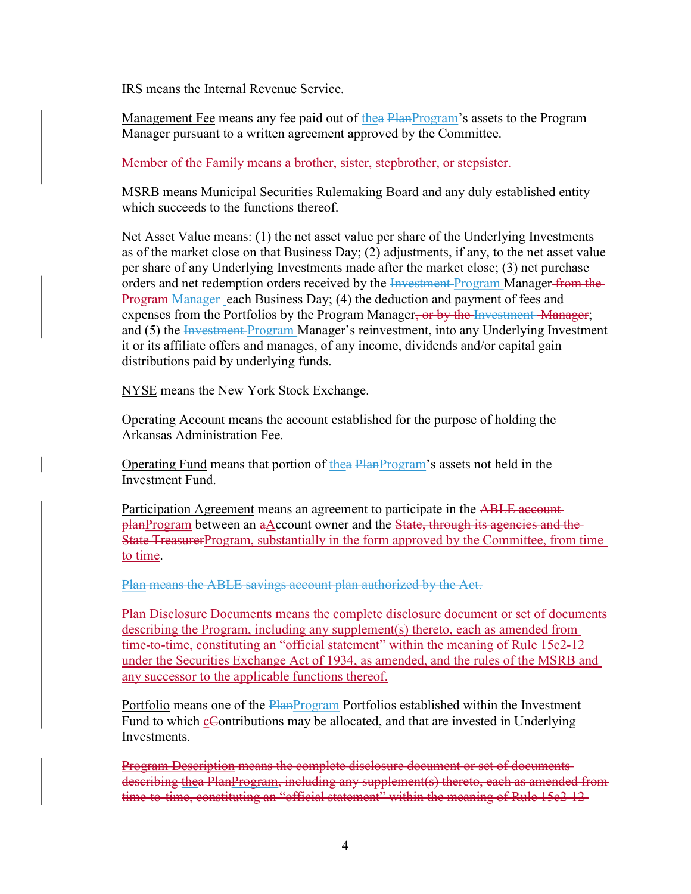IRS means the Internal Revenue Service.

Management Fee means any fee paid out of thea PlanProgram's assets to the Program Manager pursuant to a written agreement approved by the Committee.

Member of the Family means a brother, sister, stepbrother, or stepsister.

MSRB means Municipal Securities Rulemaking Board and any duly established entity which succeeds to the functions thereof.

Net Asset Value means: (1) the net asset value per share of the Underlying Investments as of the market close on that Business Day; (2) adjustments, if any, to the net asset value per share of any Underlying Investments made after the market close; (3) net purchase orders and net redemption orders received by the Investment Program Manager from the Program Manager each Business Day; (4) the deduction and payment of fees and expenses from the Portfolios by the Program Manager, or by the Investment Manager; and (5) the Investment Program Manager's reinvestment, into any Underlying Investment it or its affiliate offers and manages, of any income, dividends and/or capital gain distributions paid by underlying funds.

NYSE means the New York Stock Exchange.

Operating Account means the account established for the purpose of holding the Arkansas Administration Fee.

Operating Fund means that portion of the PlanProgram's assets not held in the Investment Fund.

Participation Agreement means an agreement to participate in the ABLE accountplanProgram between an aAccount owner and the State, through its agencies and the State TreasurerProgram, substantially in the form approved by the Committee, from time to time.

Plan means the ABLE savings account plan authorized by the Act.

Plan Disclosure Documents means the complete disclosure document or set of documents describing the Program, including any supplement(s) thereto, each as amended from time-to-time, constituting an "official statement" within the meaning of Rule 15c2-12 under the Securities Exchange Act of 1934, as amended, and the rules of the MSRB and any successor to the applicable functions thereof.

Portfolio means one of the PlanProgram Portfolios established within the Investment Fund to which cContributions may be allocated, and that are invested in Underlying Investments.

**Program Description means the complete disclosure document or set of documents** describing thea PlanProgram, including any supplement(s) thereto, each as amended from time-to-time, constituting an "official statement" within the meaning of Rule 15c2-12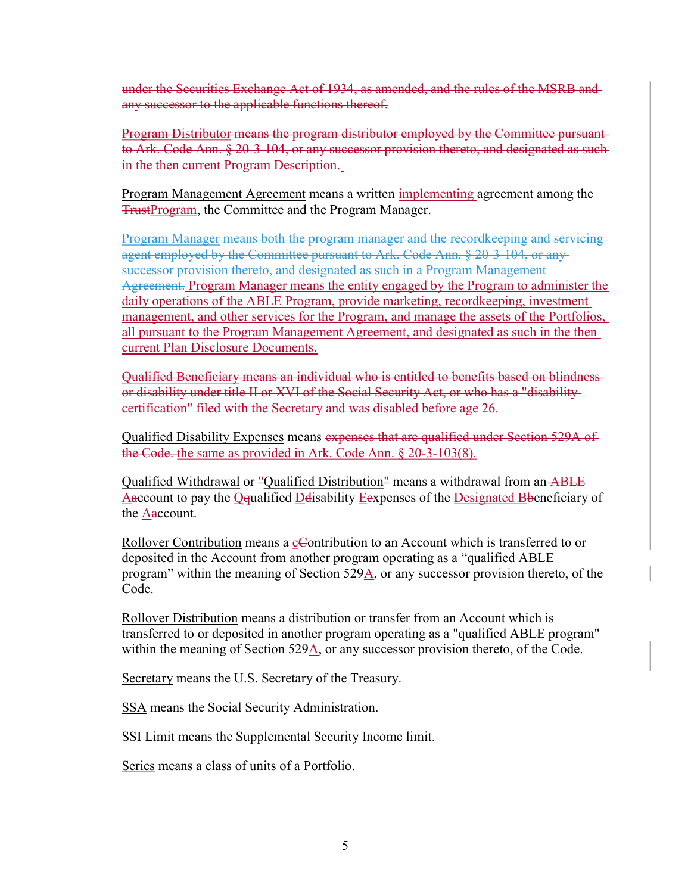under the Securities Exchange Act of 1934, as amended, and the rules of the MSRB and any successor to the applicable functions thereof.

Program Distributor means the program distributor employed by the Committee pursuant to Ark. Code Ann. § 20-3-104, or any successor provision thereto, and designated as such in the then current Program Description.

Program Management Agreement means a written *implementing* agreement among the **TrustProgram, the Committee and the Program Manager.** 

Program Manager means both the program manager and the recordkeeping and servicing agent employed by the Committee pursuant to Ark. Code Ann. § 20-3-104, or anysuccessor provision thereto, and designated as such in a Program Management Agreement. Program Manager means the entity engaged by the Program to administer the daily operations of the ABLE Program, provide marketing, recordkeeping, investment management, and other services for the Program, and manage the assets of the Portfolios, all pursuant to the Program Management Agreement, and designated as such in the then current Plan Disclosure Documents.

Qualified Beneficiary means an individual who is entitled to benefits based on blindness or disability under title II or XVI of the Social Security Act, or who has a "disability certification" filed with the Secretary and was disabled before age 26.

Qualified Disability Expenses means expenses that are qualified under Section 529A of the Code. the same as provided in Ark. Code Ann. § 20-3-103(8).

Qualified Withdrawal or "Qualified Distribution" means a withdrawal from an ABLE Aaccount to pay the Qqualified Ddisability Eexpenses of the Designated Bbeneficiary of the Aaccount.

Rollover Contribution means a cContribution to an Account which is transferred to or deposited in the Account from another program operating as a "qualified ABLE program" within the meaning of Section 529A, or any successor provision thereto, of the Code.

Rollover Distribution means a distribution or transfer from an Account which is transferred to or deposited in another program operating as a "qualified ABLE program" within the meaning of Section  $529\text{\AA}$ , or any successor provision thereto, of the Code.

Secretary means the U.S. Secretary of the Treasury.

**SSA** means the Social Security Administration.

SSI Limit means the Supplemental Security Income limit.

Series means a class of units of a Portfolio.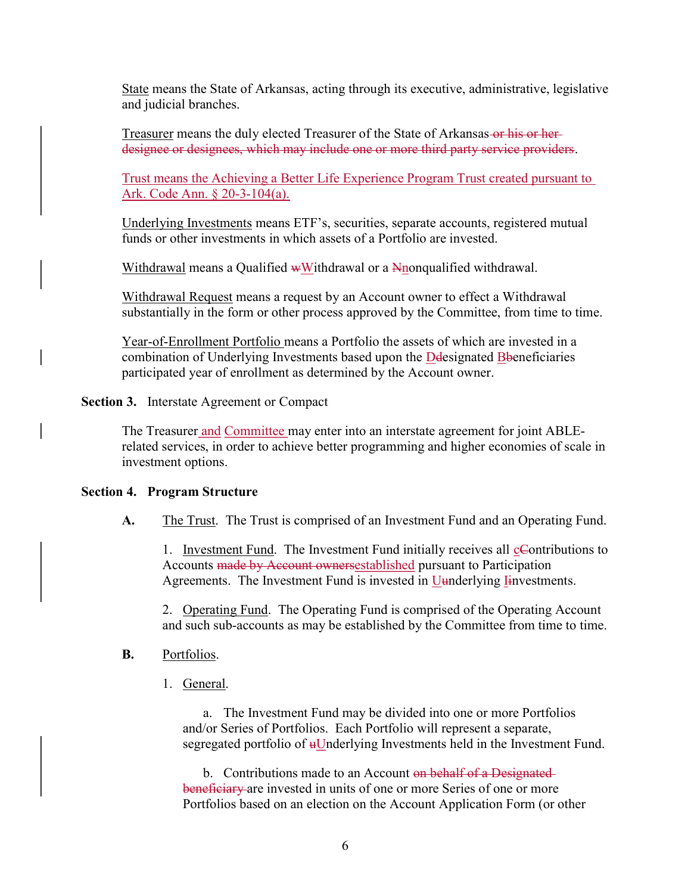State means the State of Arkansas, acting through its executive, administrative, legislative and judicial branches.

Treasurer means the duly elected Treasurer of the State of Arkansas-or his or herdesignee or designees, which may include one or more third party service providers.

Trust means the Achieving a Better Life Experience Program Trust created pursuant to Ark. Code Ann. § 20-3-104(a).

Underlying Investments means ETF's, securities, separate accounts, registered mutual funds or other investments in which assets of a Portfolio are invested.

Withdrawal means a Qualified  $\frac{w}{w}$  thdrawal or a Nnonqualified withdrawal.

Withdrawal Request means a request by an Account owner to effect a Withdrawal substantially in the form or other process approved by the Committee, from time to time.

Year-of-Enrollment Portfolio means a Portfolio the assets of which are invested in a combination of Underlying Investments based upon the Delesignated Bbeneficiaries participated year of enrollment as determined by the Account owner.

Section 3. Interstate Agreement or Compact

The Treasurer and Committee may enter into an interstate agreement for joint ABLErelated services, in order to achieve better programming and higher economies of scale in investment options.

#### Section 4. Program Structure

A. The Trust. The Trust is comprised of an Investment Fund and an Operating Fund.

1. Investment Fund. The Investment Fund initially receives all cContributions to Accounts made by Account ownersestablished pursuant to Participation Agreements. The Investment Fund is invested in Uunderlying Investments.

2. Operating Fund. The Operating Fund is comprised of the Operating Account and such sub-accounts as may be established by the Committee from time to time.

#### B. Portfolios.

1. General.

a. The Investment Fund may be divided into one or more Portfolios and/or Series of Portfolios. Each Portfolio will represent a separate, segregated portfolio of uUnderlying Investments held in the Investment Fund.

b. Contributions made to an Account on behalf of a Designated beneficiary are invested in units of one or more Series of one or more Portfolios based on an election on the Account Application Form (or other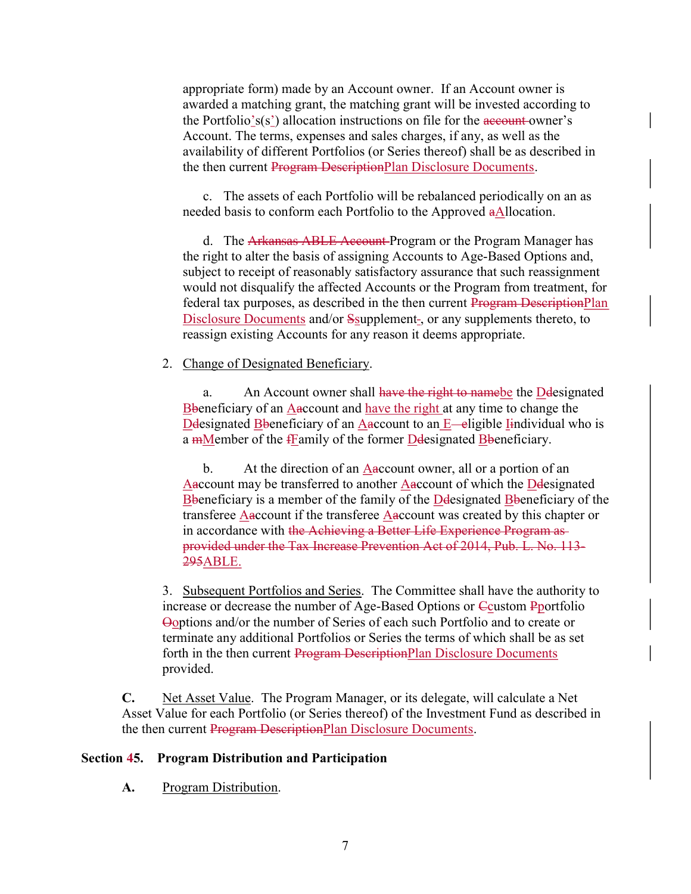appropriate form) made by an Account owner. If an Account owner is awarded a matching grant, the matching grant will be invested according to the Portfolio's $(s')$  allocation instructions on file for the account owner's Account. The terms, expenses and sales charges, if any, as well as the availability of different Portfolios (or Series thereof) shall be as described in the then current Program DescriptionPlan Disclosure Documents.

c. The assets of each Portfolio will be rebalanced periodically on an as needed basis to conform each Portfolio to the Approved aAllocation.

d. The Arkansas ABLE Account Program or the Program Manager has the right to alter the basis of assigning Accounts to Age-Based Options and, subject to receipt of reasonably satisfactory assurance that such reassignment would not disqualify the affected Accounts or the Program from treatment, for federal tax purposes, as described in the then current Program DescriptionPlan Disclosure Documents and/or Ssupplement-, or any supplements thereto, to reassign existing Accounts for any reason it deems appropriate.

#### 2. Change of Designated Beneficiary.

a. An Account owner shall have the right to name be the Delesignated Bbeneficiary of an Aaccount and have the right at any time to change the Detesignated Bbeneficiary of an Aaccount to an  $E$ —eligible Iindividual who is a mMember of the fFamily of the former Delesignated Bbeneficiary.

b. At the direction of an Aaccount owner, all or a portion of an Aaccount may be transferred to another Aaccount of which the Ddesignated Bbeneficiary is a member of the family of the Ddesignated Bbeneficiary of the transferee Aaccount if the transferee Aaccount was created by this chapter or in accordance with the Achieving a Better Life Experience Program asprovided under the Tax Increase Prevention Act of 2014, Pub. L. No. 113- 295ABLE.

3. Subsequent Portfolios and Series. The Committee shall have the authority to increase or decrease the number of Age-Based Options or Ccustom Pportfolio Ooptions and/or the number of Series of each such Portfolio and to create or terminate any additional Portfolios or Series the terms of which shall be as set forth in the then current Program DescriptionPlan Disclosure Documents provided.

C. Net Asset Value. The Program Manager, or its delegate, will calculate a Net Asset Value for each Portfolio (or Series thereof) of the Investment Fund as described in the then current Program DescriptionPlan Disclosure Documents.

#### Section 45. Program Distribution and Participation

A. Program Distribution.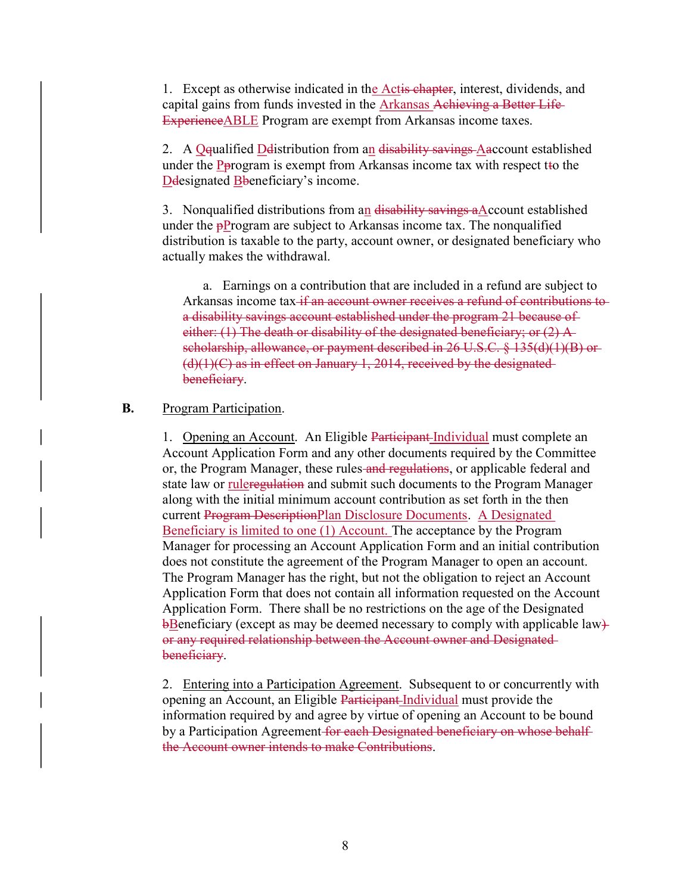1. Except as otherwise indicated in the Actis chapter, interest, dividends, and capital gains from funds invested in the **Arkansas Achieving a Better Life** ExperienceABLE Program are exempt from Arkansas income taxes.

2. A Qqualified Delistribution from an disability savings-Aaccount established under the  $P$ *program* is exempt from Arkansas income tax with respect tto the Ddesignated Bbeneficiary's income.

3. Nonqualified distributions from an disability savings aAccount established under the  $\frac{1}{2}$ Program are subject to Arkansas income tax. The nonqualified distribution is taxable to the party, account owner, or designated beneficiary who actually makes the withdrawal.

a. Earnings on a contribution that are included in a refund are subject to Arkansas income tax if an account owner receives a refund of contributions to a disability savings account established under the program 21 because of either:  $(1)$  The death or disability of the designated beneficiary; or  $(2)$  A scholarship, allowance, or payment described in 26 U.S.C. § 135(d)(1)(B) or  $(d)(1)(C)$  as in effect on January 1, 2014, received by the designated beneficiary.

#### B. Program Participation.

1. Opening an Account. An Eligible Participant-Individual must complete an Account Application Form and any other documents required by the Committee or, the Program Manager, these rules and regulations, or applicable federal and state law or ruler egulation and submit such documents to the Program Manager along with the initial minimum account contribution as set forth in the then current Program DescriptionPlan Disclosure Documents. A Designated Beneficiary is limited to one (1) Account. The acceptance by the Program Manager for processing an Account Application Form and an initial contribution does not constitute the agreement of the Program Manager to open an account. The Program Manager has the right, but not the obligation to reject an Account Application Form that does not contain all information requested on the Account Application Form. There shall be no restrictions on the age of the Designated  $\overline{b}$ Beneficiary (except as may be deemed necessary to comply with applicable law) or any required relationship between the Account owner and Designated beneficiary.

2. Entering into a Participation Agreement. Subsequent to or concurrently with opening an Account, an Eligible Participant Individual must provide the information required by and agree by virtue of opening an Account to be bound by a Participation Agreement for each Designated beneficiary on whose behalfthe Account owner intends to make Contributions.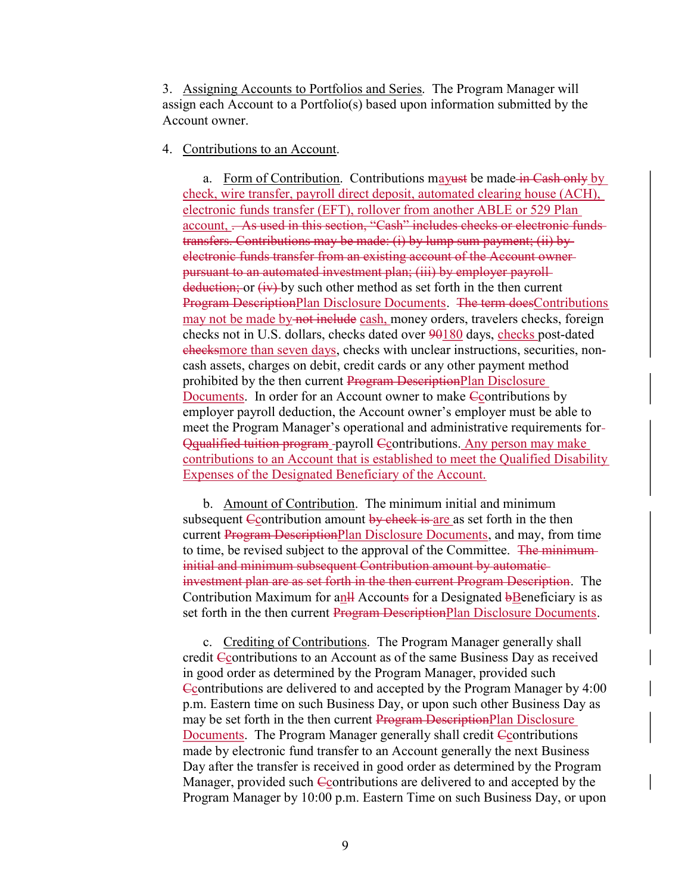3. Assigning Accounts to Portfolios and Series. The Program Manager will assign each Account to a Portfolio(s) based upon information submitted by the Account owner.

#### 4. Contributions to an Account.

a. Form of Contribution. Contributions may use the made in Cash only by check, wire transfer, payroll direct deposit, automated clearing house (ACH), electronic funds transfer (EFT), rollover from another ABLE or 529 Plan account, . As used in this section, "Cash" includes checks or electronic funds transfers. Contributions may be made: (i) by lump sum payment; (ii) by electronic funds transfer from an existing account of the Account owner pursuant to an automated investment plan; (iii) by employer payroll  $deduction; or (iv)$  by such other method as set forth in the then current Program DescriptionPlan Disclosure Documents. The term doesContributions may not be made by not include cash, money orders, travelers checks, foreign checks not in U.S. dollars, checks dated over 90180 days, checks post-dated checksmore than seven days, checks with unclear instructions, securities, noncash assets, charges on debit, credit cards or any other payment method prohibited by the then current Program DescriptionPlan Disclosure Documents. In order for an Account owner to make Ccontributions by employer payroll deduction, the Account owner's employer must be able to meet the Program Manager's operational and administrative requirements for Qqualified tuition program payroll Ccontributions. Any person may make contributions to an Account that is established to meet the Qualified Disability Expenses of the Designated Beneficiary of the Account.

b. Amount of Contribution. The minimum initial and minimum subsequent Contribution amount by check is are as set forth in the then current Program DescriptionPlan Disclosure Documents, and may, from time to time, be revised subject to the approval of the Committee. The minimuminitial and minimum subsequent Contribution amount by automaticinvestment plan are as set forth in the then current Program Description. The Contribution Maximum for an<sup> $\mu$ </sup> Accounts for a Designated bBeneficiary is as set forth in the then current Program DescriptionPlan Disclosure Documents.

c. Crediting of Contributions. The Program Manager generally shall credit Ccontributions to an Account as of the same Business Day as received in good order as determined by the Program Manager, provided such Ccontributions are delivered to and accepted by the Program Manager by 4:00 p.m. Eastern time on such Business Day, or upon such other Business Day as may be set forth in the then current Program DescriptionPlan Disclosure Documents. The Program Manager generally shall credit Contributions made by electronic fund transfer to an Account generally the next Business Day after the transfer is received in good order as determined by the Program Manager, provided such *C*contributions are delivered to and accepted by the Program Manager by 10:00 p.m. Eastern Time on such Business Day, or upon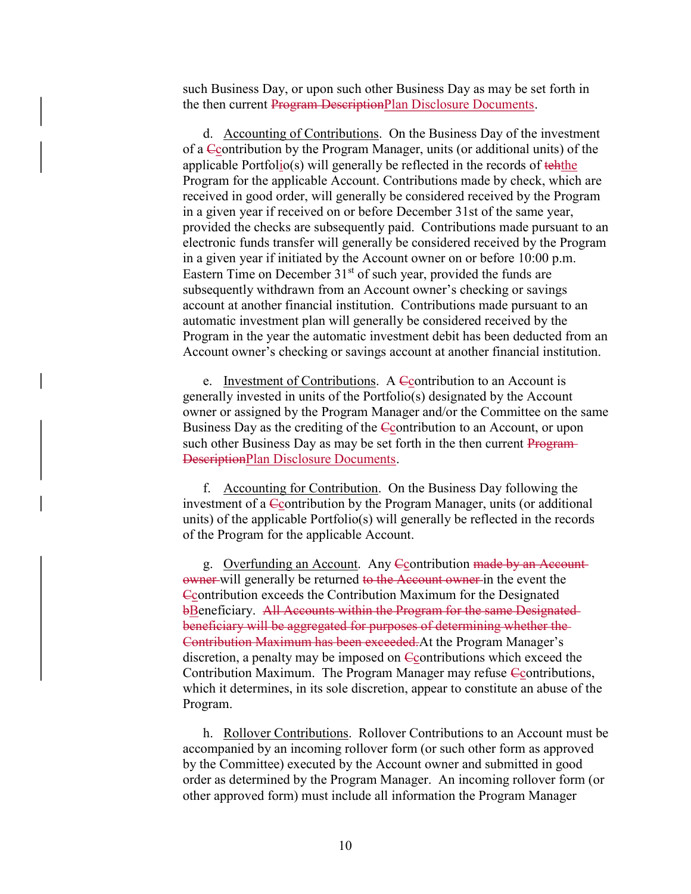such Business Day, or upon such other Business Day as may be set forth in the then current Program DescriptionPlan Disclosure Documents.

d. Accounting of Contributions. On the Business Day of the investment of a Ccontribution by the Program Manager, units (or additional units) of the applicable Portfolio(s) will generally be reflected in the records of  $t$ ehthe Program for the applicable Account. Contributions made by check, which are received in good order, will generally be considered received by the Program in a given year if received on or before December 31st of the same year, provided the checks are subsequently paid. Contributions made pursuant to an electronic funds transfer will generally be considered received by the Program in a given year if initiated by the Account owner on or before 10:00 p.m. Eastern Time on December  $31<sup>st</sup>$  of such year, provided the funds are subsequently withdrawn from an Account owner's checking or savings account at another financial institution. Contributions made pursuant to an automatic investment plan will generally be considered received by the Program in the year the automatic investment debit has been deducted from an Account owner's checking or savings account at another financial institution.

e. Investment of Contributions. A Contribution to an Account is generally invested in units of the Portfolio(s) designated by the Account owner or assigned by the Program Manager and/or the Committee on the same Business Day as the crediting of the Ccontribution to an Account, or upon such other Business Day as may be set forth in the then current Program-DescriptionPlan Disclosure Documents.

f. Accounting for Contribution. On the Business Day following the investment of a Ccontribution by the Program Manager, units (or additional units) of the applicable Portfolio(s) will generally be reflected in the records of the Program for the applicable Account.

g. Overfunding an Account. Any Ccontribution made by an Accountowner will generally be returned to the Account owner in the event the Ccontribution exceeds the Contribution Maximum for the Designated bBeneficiary. All Accounts within the Program for the same Designated beneficiary will be aggregated for purposes of determining whether the Contribution Maximum has been exceeded.At the Program Manager's discretion, a penalty may be imposed on Ccontributions which exceed the Contribution Maximum. The Program Manager may refuse Ccontributions, which it determines, in its sole discretion, appear to constitute an abuse of the Program.

h. Rollover Contributions. Rollover Contributions to an Account must be accompanied by an incoming rollover form (or such other form as approved by the Committee) executed by the Account owner and submitted in good order as determined by the Program Manager. An incoming rollover form (or other approved form) must include all information the Program Manager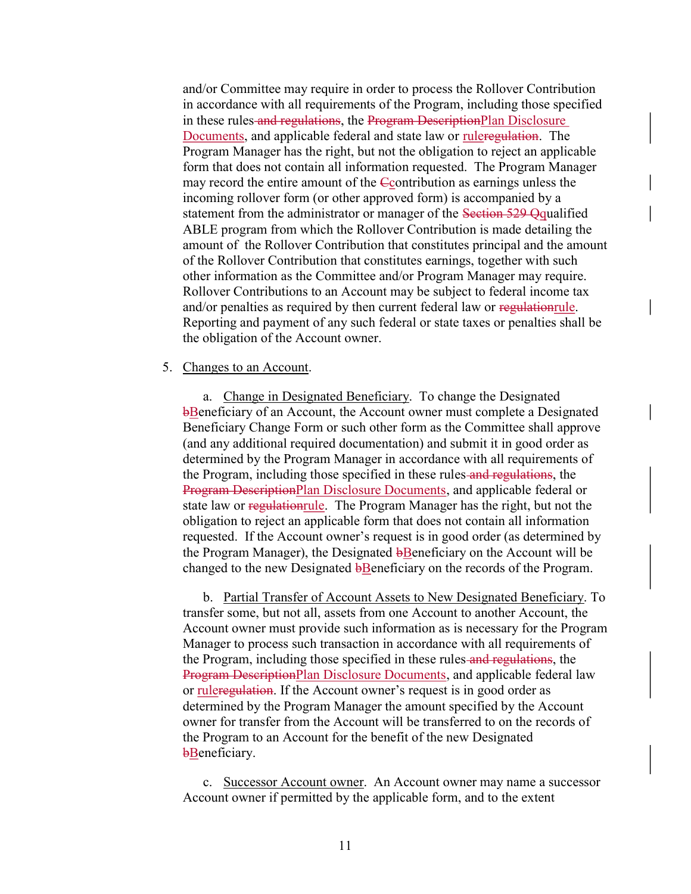and/or Committee may require in order to process the Rollover Contribution in accordance with all requirements of the Program, including those specified in these rules and regulations, the Program DescriptionPlan Disclosure Documents, and applicable federal and state law or ruleregulation. The Program Manager has the right, but not the obligation to reject an applicable form that does not contain all information requested. The Program Manager may record the entire amount of the Ccontribution as earnings unless the incoming rollover form (or other approved form) is accompanied by a statement from the administrator or manager of the Section 529 Qqualified ABLE program from which the Rollover Contribution is made detailing the amount of the Rollover Contribution that constitutes principal and the amount of the Rollover Contribution that constitutes earnings, together with such other information as the Committee and/or Program Manager may require. Rollover Contributions to an Account may be subject to federal income tax and/or penalties as required by then current federal law or regulationrule. Reporting and payment of any such federal or state taxes or penalties shall be the obligation of the Account owner.

#### 5. Changes to an Account.

a. Change in Designated Beneficiary. To change the Designated bBeneficiary of an Account, the Account owner must complete a Designated Beneficiary Change Form or such other form as the Committee shall approve (and any additional required documentation) and submit it in good order as determined by the Program Manager in accordance with all requirements of the Program, including those specified in these rules and regulations, the Program DescriptionPlan Disclosure Documents, and applicable federal or state law or regulationrule. The Program Manager has the right, but not the obligation to reject an applicable form that does not contain all information requested. If the Account owner's request is in good order (as determined by the Program Manager), the Designated  $\overline{b}$ Beneficiary on the Account will be changed to the new Designated  $\frac{1}{2}$ Beneficiary on the records of the Program.

b. Partial Transfer of Account Assets to New Designated Beneficiary. To transfer some, but not all, assets from one Account to another Account, the Account owner must provide such information as is necessary for the Program Manager to process such transaction in accordance with all requirements of the Program, including those specified in these rules and regulations, the Program DescriptionPlan Disclosure Documents, and applicable federal law or ruleregulation. If the Account owner's request is in good order as determined by the Program Manager the amount specified by the Account owner for transfer from the Account will be transferred to on the records of the Program to an Account for the benefit of the new Designated **b**Beneficiary.

c. Successor Account owner. An Account owner may name a successor Account owner if permitted by the applicable form, and to the extent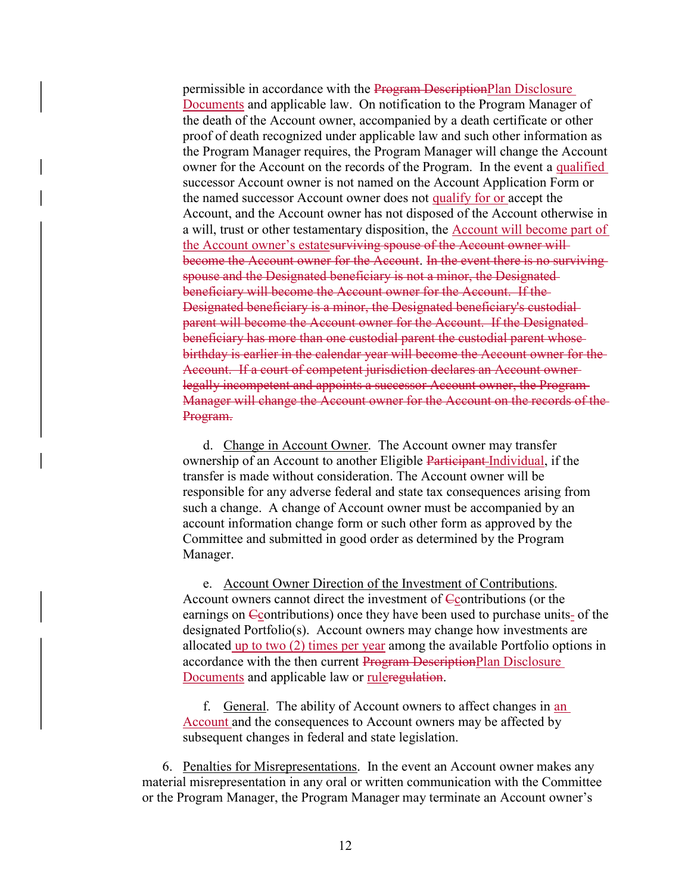permissible in accordance with the Program DescriptionPlan Disclosure Documents and applicable law. On notification to the Program Manager of the death of the Account owner, accompanied by a death certificate or other proof of death recognized under applicable law and such other information as the Program Manager requires, the Program Manager will change the Account owner for the Account on the records of the Program. In the event a qualified successor Account owner is not named on the Account Application Form or the named successor Account owner does not qualify for or accept the Account, and the Account owner has not disposed of the Account otherwise in a will, trust or other testamentary disposition, the Account will become part of the Account owner's estatesurviving spouse of the Account owner will become the Account owner for the Account. In the event there is no surviving spouse and the Designated beneficiary is not a minor, the Designated beneficiary will become the Account owner for the Account. If the Designated beneficiary is a minor, the Designated beneficiary's custodial parent will become the Account owner for the Account. If the Designated beneficiary has more than one custodial parent the custodial parent whose birthday is earlier in the calendar year will become the Account owner for the Account. If a court of competent jurisdiction declares an Account owner legally incompetent and appoints a successor Account owner, the Program Manager will change the Account owner for the Account on the records of the Program.

d. Change in Account Owner. The Account owner may transfer ownership of an Account to another Eligible Participant Individual, if the transfer is made without consideration. The Account owner will be responsible for any adverse federal and state tax consequences arising from such a change. A change of Account owner must be accompanied by an account information change form or such other form as approved by the Committee and submitted in good order as determined by the Program Manager.

e. Account Owner Direction of the Investment of Contributions. Account owners cannot direct the investment of Contributions (or the earnings on Ccontributions) once they have been used to purchase units- of the designated Portfolio(s). Account owners may change how investments are allocated up to two (2) times per year among the available Portfolio options in accordance with the then current Program DescriptionPlan Disclosure Documents and applicable law or ruleregulation.

f. General. The ability of Account owners to affect changes in an Account and the consequences to Account owners may be affected by subsequent changes in federal and state legislation.

6. Penalties for Misrepresentations. In the event an Account owner makes any material misrepresentation in any oral or written communication with the Committee or the Program Manager, the Program Manager may terminate an Account owner's